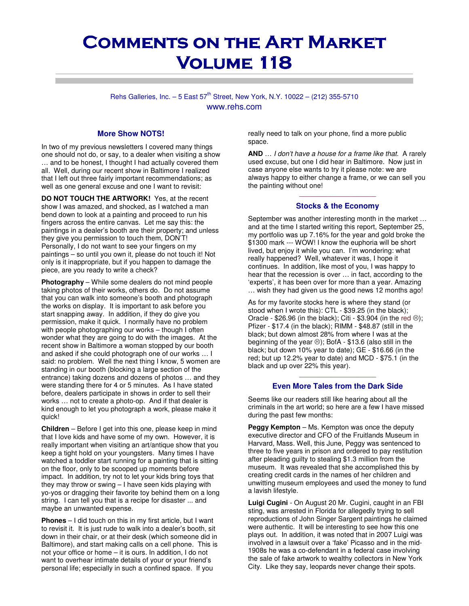# **COMMENTS ON THE ART MARKET** VOLUME 118

Rehs Galleries, Inc.  $-5$  East  $57^{th}$  Street, New York, N.Y. 10022 – (212) 355-5710 www.rehs.com

### **More Show NOTS!**

In two of my previous newsletters I covered many things one should not do, or say, to a dealer when visiting a show … and to be honest, I thought I had actually covered them all. Well, during our recent show in Baltimore I realized that I left out three fairly important recommendations; as well as one general excuse and one I want to revisit:

**DO NOT TOUCH THE ARTWORK!** Yes, at the recent show I was amazed, and shocked, as I watched a man bend down to look at a painting and proceed to run his fingers across the entire canvas. Let me say this: the paintings in a dealer's booth are their property; and unless they give you permission to touch them, DON'T! Personally, I do not want to see your fingers on my paintings – so until you own it, please do not touch it! Not only is it inappropriate, but if you happen to damage the piece, are you ready to write a check?

**Photography** – While some dealers do not mind people taking photos of their works, others do. Do not assume that you can walk into someone's booth and photograph the works on display. It is important to ask before you start snapping away. In addition, if they do give you permission, make it quick. I normally have no problem with people photographing our works – though I often wonder what they are going to do with the images. At the recent show in Baltimore a woman stopped by our booth and asked if she could photograph one of our works … I said: no problem. Well the next thing I know, 5 women are standing in our booth (blocking a large section of the entrance) taking dozens and dozens of photos … and they were standing there for 4 or 5 minutes. As I have stated before, dealers participate in shows in order to sell their works … not to create a photo-op. And if that dealer is kind enough to let you photograph a work, please make it quick!

**Children** – Before I get into this one, please keep in mind that I love kids and have some of my own. However, it is really important when visiting an art/antique show that you keep a tight hold on your youngsters. Many times I have watched a toddler start running for a painting that is sitting on the floor, only to be scooped up moments before impact. In addition, try not to let your kids bring toys that they may throw or swing – I have seen kids playing with yo-yos or dragging their favorite toy behind them on a long string. I can tell you that is a recipe for disaster ... and maybe an unwanted expense.

**Phones** – I did touch on this in my first article, but I want to revisit it. It is just rude to walk into a dealer's booth, sit down in their chair, or at their desk (which someone did in Baltimore), and start making calls on a cell phone. This is not your office or home – it is ours. In addition, I do not want to overhear intimate details of your or your friend's personal life; especially in such a confined space. If you

really need to talk on your phone, find a more public space.

**AND** … I don't have a house for a frame like that. A rarely used excuse, but one I did hear in Baltimore. Now just in case anyone else wants to try it please note: we are always happy to either change a frame, or we can sell you the painting without one!

## $\frac{1}{2}$  ,  $\frac{1}{2}$  ,  $\frac{1}{2}$  ,  $\frac{1}{2}$  ,  $\frac{1}{2}$  ,  $\frac{1}{2}$  ,  $\frac{1}{2}$  ,  $\frac{1}{2}$  ,  $\frac{1}{2}$  ,  $\frac{1}{2}$  ,  $\frac{1}{2}$  ,  $\frac{1}{2}$  ,  $\frac{1}{2}$ **Stocks & the Economy**

September was another interesting month in the market … and at the time I started writing this report, September 25, my portfolio was up 7.16% for the year and gold broke the \$1300 mark --- WOW! I know the euphoria will be short lived, but enjoy it while you can. I'm wondering: what really happened? Well, whatever it was, I hope it continues. In addition, like most of you, I was happy to hear that the recession is over … in fact, according to the 'experts', it has been over for more than a year. Amazing … wish they had given us the good news 12 months ago!

As for my favorite stocks here is where they stand (or stood when I wrote this): CTL - \$39.25 (in the black); Oracle - \$26.96 (in the black); Citi - \$3.904 (in the red  $\circledcirc$ ); Pfizer - \$17.4 (in the black); RIMM - \$48.87 (still in the black; but down almost 28% from where I was at the beginning of the year  $\circledcirc$ ); BofA - \$13.6 (also still in the black; but down 10% year to date); GE - \$16.66 (in the red; but up 12.2% year to date) and MCD - \$75.1 (in the black and up over 22% this year).

## \_\_\_\_\_\_\_\_\_\_\_\_\_\_\_\_\_\_\_\_ **Even More Tales from the Dark Side**

Seems like our readers still like hearing about all the criminals in the art world; so here are a few I have missed during the past few months:

**Peggy Kempton** – Ms. Kempton was once the deputy executive director and CFO of the Fruitlands Museum in Harvard, Mass. Well, this June, Peggy was sentenced to three to five years in prison and ordered to pay restitution after pleading guilty to stealing \$1.3 million from the museum. It was revealed that she accomplished this by creating credit cards in the names of her children and unwitting museum employees and used the money to fund a lavish lifestyle.

**Luigi Cugini** - On August 20 Mr. Cugini, caught in an FBI sting, was arrested in Florida for allegedly trying to sell reproductions of John Singer Sargent paintings he claimed were authentic. It will be interesting to see how this one plays out. In addition, it was noted that in 2007 Luigi was involved in a lawsuit over a 'fake' Picasso and in the mid-1908s he was a co-defendant in a federal case involving the sale of fake artwork to wealthy collectors in New York City. Like they say, leopards never change their spots.